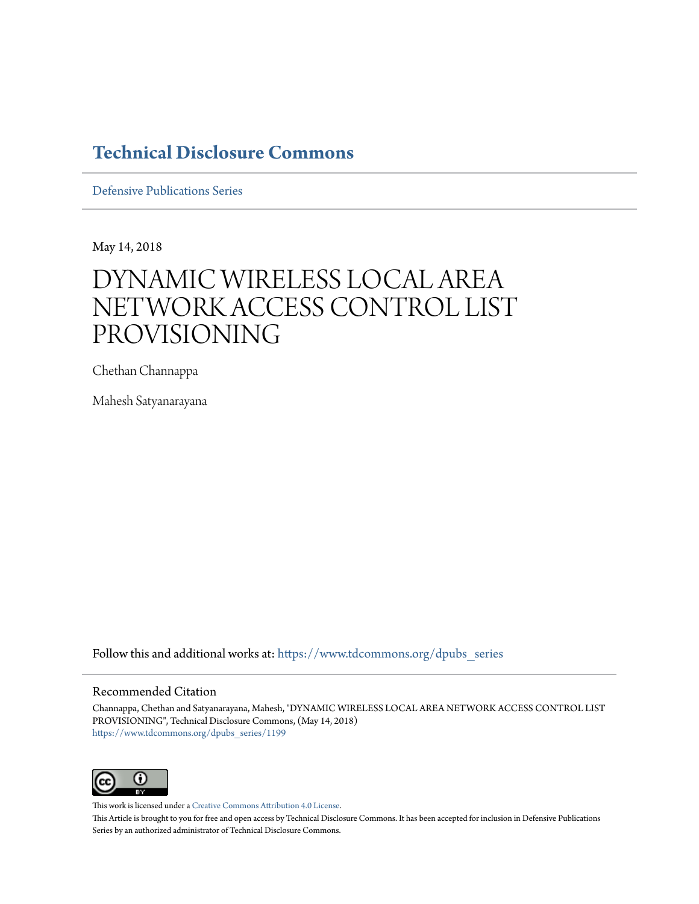# **[Technical Disclosure Commons](https://www.tdcommons.org?utm_source=www.tdcommons.org%2Fdpubs_series%2F1199&utm_medium=PDF&utm_campaign=PDFCoverPages)**

[Defensive Publications Series](https://www.tdcommons.org/dpubs_series?utm_source=www.tdcommons.org%2Fdpubs_series%2F1199&utm_medium=PDF&utm_campaign=PDFCoverPages)

May 14, 2018

# DYNAMIC WIRELESS LOCAL AREA NETWORK ACCESS CONTROL LIST PROVISIONING

Chethan Channappa

Mahesh Satyanarayana

Follow this and additional works at: [https://www.tdcommons.org/dpubs\\_series](https://www.tdcommons.org/dpubs_series?utm_source=www.tdcommons.org%2Fdpubs_series%2F1199&utm_medium=PDF&utm_campaign=PDFCoverPages)

#### Recommended Citation

Channappa, Chethan and Satyanarayana, Mahesh, "DYNAMIC WIRELESS LOCAL AREA NETWORK ACCESS CONTROL LIST PROVISIONING", Technical Disclosure Commons, (May 14, 2018) [https://www.tdcommons.org/dpubs\\_series/1199](https://www.tdcommons.org/dpubs_series/1199?utm_source=www.tdcommons.org%2Fdpubs_series%2F1199&utm_medium=PDF&utm_campaign=PDFCoverPages)



This work is licensed under a [Creative Commons Attribution 4.0 License.](http://creativecommons.org/licenses/by/4.0/deed.en_US)

This Article is brought to you for free and open access by Technical Disclosure Commons. It has been accepted for inclusion in Defensive Publications Series by an authorized administrator of Technical Disclosure Commons.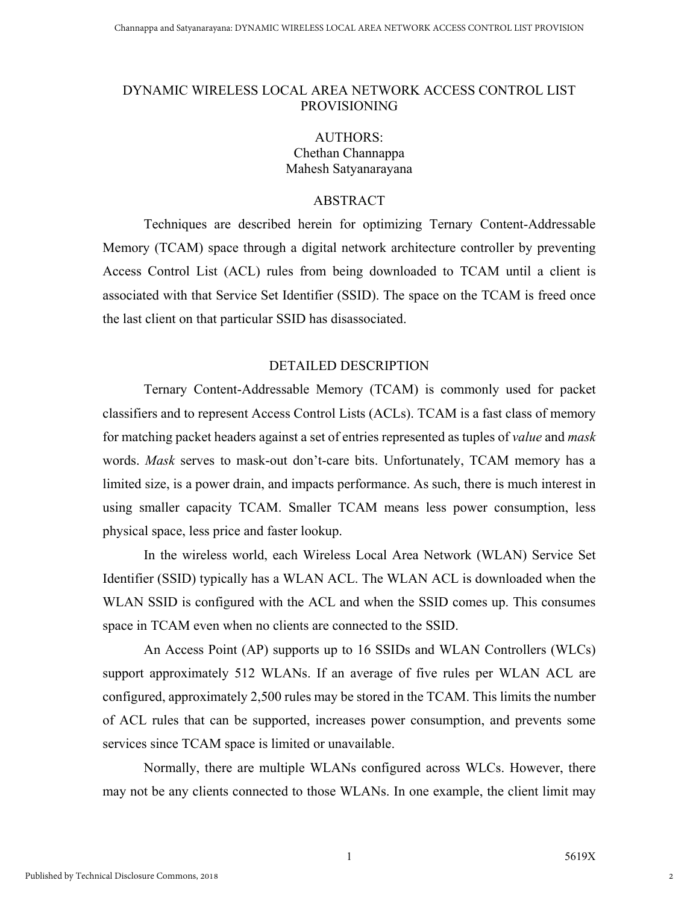#### DYNAMIC WIRELESS LOCAL AREA NETWORK ACCESS CONTROL LIST PROVISIONING

## AUTHORS: Chethan Channappa Mahesh Satyanarayana

### ABSTRACT

Techniques are described herein for optimizing Ternary Content-Addressable Memory (TCAM) space through a digital network architecture controller by preventing Access Control List (ACL) rules from being downloaded to TCAM until a client is associated with that Service Set Identifier (SSID). The space on the TCAM is freed once the last client on that particular SSID has disassociated.

#### DETAILED DESCRIPTION

Ternary Content-Addressable Memory (TCAM) is commonly used for packet classifiers and to represent Access Control Lists (ACLs). TCAM is a fast class of memory for matching packet headers against a set of entries represented as tuples of *value* and *mask* words. *Mask* serves to mask-out don't-care bits. Unfortunately, TCAM memory has a limited size, is a power drain, and impacts performance. As such, there is much interest in using smaller capacity TCAM. Smaller TCAM means less power consumption, less physical space, less price and faster lookup.

In the wireless world, each Wireless Local Area Network (WLAN) Service Set Identifier (SSID) typically has a WLAN ACL. The WLAN ACL is downloaded when the WLAN SSID is configured with the ACL and when the SSID comes up. This consumes space in TCAM even when no clients are connected to the SSID.

An Access Point (AP) supports up to 16 SSIDs and WLAN Controllers (WLCs) support approximately 512 WLANs. If an average of five rules per WLAN ACL are configured, approximately 2,500 rules may be stored in the TCAM. This limits the number of ACL rules that can be supported, increases power consumption, and prevents some services since TCAM space is limited or unavailable.

Normally, there are multiple WLANs configured across WLCs. However, there may not be any clients connected to those WLANs. In one example, the client limit may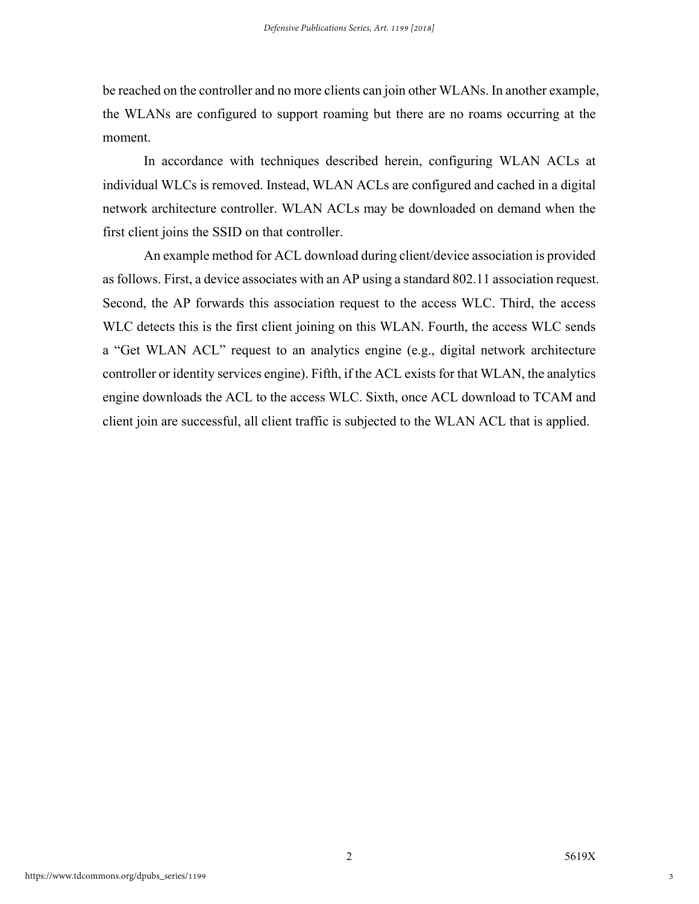be reached on the controller and no more clients can join other WLANs. In another example, the WLANs are configured to support roaming but there are no roams occurring at the moment.

In accordance with techniques described herein, configuring WLAN ACLs at individual WLCs is removed. Instead, WLAN ACLs are configured and cached in a digital network architecture controller. WLAN ACLs may be downloaded on demand when the first client joins the SSID on that controller.

An example method for ACL download during client/device association is provided as follows. First, a device associates with an AP using a standard 802.11 association request. Second, the AP forwards this association request to the access WLC. Third, the access WLC detects this is the first client joining on this WLAN. Fourth, the access WLC sends a "Get WLAN ACL" request to an analytics engine (e.g., digital network architecture controller or identity services engine). Fifth, if the ACL exists for that WLAN, the analytics engine downloads the ACL to the access WLC. Sixth, once ACL download to TCAM and client join are successful, all client traffic is subjected to the WLAN ACL that is applied.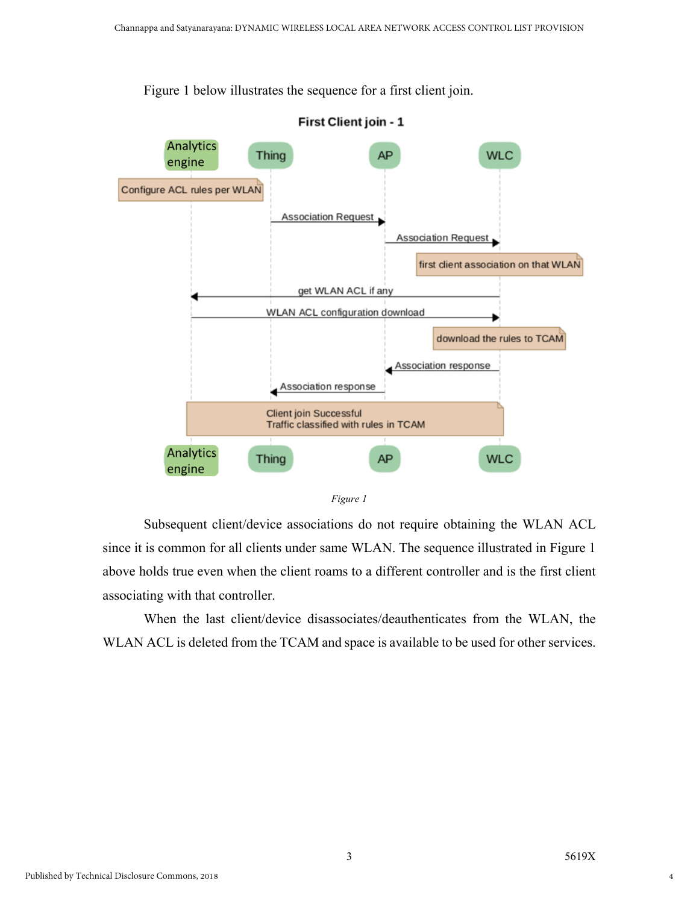

Figure 1 below illustrates the sequence for a first client join.

*Figure 1* 

Subsequent client/device associations do not require obtaining the WLAN ACL since it is common for all clients under same WLAN. The sequence illustrated in Figure 1 above holds true even when the client roams to a different controller and is the first client associating with that controller.

When the last client/device disassociates/deauthenticates from the WLAN, the WLAN ACL is deleted from the TCAM and space is available to be used for other services.